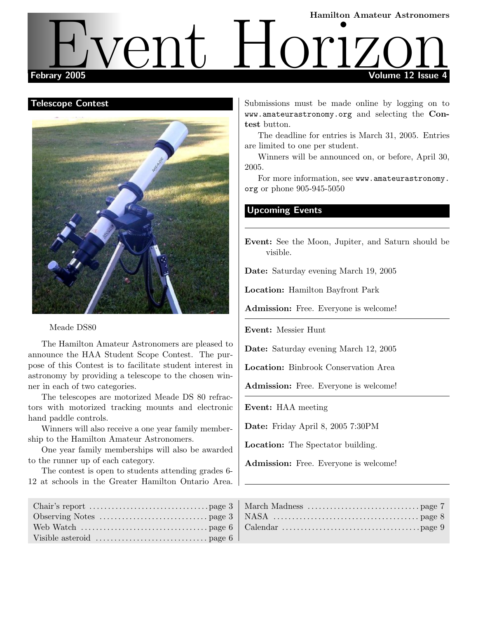# Hamilton Amateur Astronomers Febrary 2005 Volume 12 Issue 4 Fiven 2005 Vent Holl Manufon Amateur Astronomers

#### Telescope Contest



Meade DS80

The Hamilton Amateur Astronomers are pleased to announce the HAA Student Scope Contest. The purpose of this Contest is to facilitate student interest in astronomy by providing a telescope to the chosen winner in each of two categories.

The telescopes are motorized Meade DS 80 refractors with motorized tracking mounts and electronic hand paddle controls.

Winners will also receive a one year family membership to the Hamilton Amateur Astronomers.

One year family memberships will also be awarded to the runner up of each category.

The contest is open to students attending grades 6- 12 at schools in the Greater Hamilton Ontario Area. Submissions must be made online by logging on to www.amateurastronomy.org and selecting the Contest button.

The deadline for entries is March 31, 2005. Entries are limited to one per student.

Winners will be announced on, or before, April 30, 2005.

For more information, see www.amateurastronomy. org or phone 905-945-5050

#### Upcoming Events

Event: See the Moon, Jupiter, and Saturn should be visible.

Date: Saturday evening March 19, 2005

Location: Hamilton Bayfront Park

Admission: Free. Everyone is welcome!

Event: Messier Hunt

Date: Saturday evening March 12, 2005

Location: Binbrook Conservation Area

Admission: Free. Everyone is welcome!

Event: HAA meeting

Date: Friday April 8, 2005 7:30PM

Location: The Spectator building.

Admission: Free. Everyone is welcome!

| Visible asteroid $\dots \dots \dots \dots \dots \dots \dots \dots$ page 6 |  |
|---------------------------------------------------------------------------|--|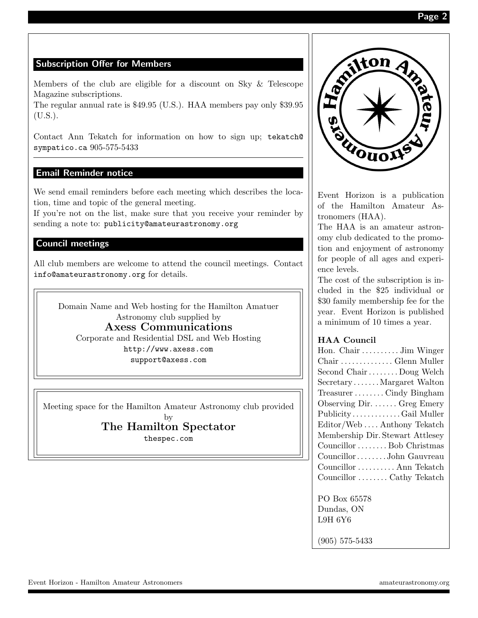# Subscription Offer for Members

Members of the club are eligible for a discount on Sky & Telescope Magazine subscriptions.

The regular annual rate is \$49.95 (U.S.). HAA members pay only \$39.95 (U.S.).

Contact Ann Tekatch for information on how to sign up; tekatch@ sympatico.ca 905-575-5433

# Email Reminder notice

We send email reminders before each meeting which describes the location, time and topic of the general meeting.

If you're not on the list, make sure that you receive your reminder by sending a note to: publicity@amateurastronomy.org

### Council meetings

All club members are welcome to attend the council meetings. Contact info@amateurastronomy.org for details.

Domain Name and Web hosting for the Hamilton Amatuer Astronomy club supplied by Axess Communications Corporate and Residential DSL and Web Hosting http://www.axess.com support@axess.com

Meeting space for the Hamilton Amateur Astronomy club provided

# by The Hamilton Spectator

thespec.com



Event Horizon is a publication of the Hamilton Amateur Astronomers (HAA).

The HAA is an amateur astronomy club dedicated to the promotion and enjoyment of astronomy for people of all ages and experience levels.

The cost of the subscription is included in the \$25 individual or \$30 family membership fee for the year. Event Horizon is published a minimum of 10 times a year.

#### HAA Council

| Hon. Chair  Jim Winger           |
|----------------------------------|
| Chair  Glenn Muller              |
| Second Chair  Doug Welch         |
| SecretaryMargaret Walton         |
| TreasurerCindy Bingham           |
| Observing Dir.  Greg Emery       |
| PublicityGail Muller             |
| Editor/Web Anthony Tekatch       |
| Membership Dir. Stewart Attlesey |
| Councillor  Bob Christmas        |
| CouncillorJohn Gauvreau          |
| Councillor  Ann Tekatch          |
| Councillor  Cathy Tekatch        |
|                                  |

PO Box 65578 Dundas, ON L9H 6Y6

(905) 575-5433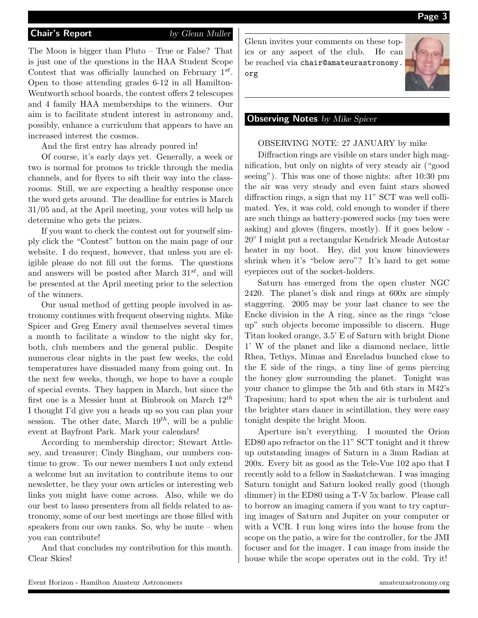The Moon is bigger than Pluto – True or False? That is just one of the questions in the HAA Student Scope Contest that was officially launched on February  $1^{st}$ . Open to those attending grades 6-12 in all Hamilton-Wentworth school boards, the contest offers 2 telescopes and 4 family HAA memberships to the winners. Our aim is to facilitate student interest in astronomy and, possibly, enhance a curriculum that appears to have an increased interest the cosmos.

And the first entry has already poured in!

Of course, it's early days yet. Generally, a week or two is normal for promos to trickle through the media channels, and for flyers to sift their way into the classrooms. Still, we are expecting a healthy response once the word gets around. The deadline for entries is March 31/05 and, at the April meeting, your votes will help us determine who gets the prizes.

If you want to check the contest out for yourself simply click the "Contest" button on the main page of our website. I do request, however, that unless you are eligible please do not fill out the forms. The questions and answers will be posted after March  $31^{st}$ , and will be presented at the April meeting prior to the selection of the winners.

Our usual method of getting people involved in astronomy continues with frequent observing nights. Mike Spicer and Greg Emery avail themselves several times a month to facilitate a window to the night sky for, both, club members and the general public. Despite numerous clear nights in the past few weeks, the cold temperatures have dissuaded many from going out. In the next few weeks, though, we hope to have a couple of special events. They happen in March, but since the first one is a Messier hunt at Binbrook on March  $12^{th}$ I thought I'd give you a heads up so you can plan your session. The other date, March  $19^{th}$ , will be a public event at Bayfront Park. Mark your calendars!

According to membership director; Stewart Attlesey, and treasurer; Cindy Bingham, our numbers continue to grow. To our newer members I not only extend a welcome but an invitation to contribute items to our newsletter, be they your own articles or interesting web links you might have come across. Also, while we do our best to lasso presenters from all fields related to astronomy, some of our best meetings are those filled with speakers from our own ranks. So, why be mute – when you can contribute!

And that concludes my contribution for this month. Clear Skies!

Glenn invites your comments on these topics or any aspect of the club. He can be reached via chair@amateurastronomy. org



#### **Observing Notes** by Mike Spicer

OBSERVING NOTE: 27 JANUARY by mike

Diffraction rings are visible on stars under high magnification, but only on nights of very steady air ("good seeing"). This was one of those nights: after 10:30 pm the air was very steady and even faint stars showed diffraction rings, a sign that my 11" SCT was well collimated. Yes, it was cold, cold enough to wonder if there are such things as battery-powered socks (my toes were asking) and gloves (fingers, mostly). If it goes below - 20◦ I might put a rectangular Kendrick Meade Autostar heater in my boot. Hey, did you know binoviewers shrink when it's "below zero"? It's hard to get some eyepieces out of the socket-holders.

Saturn has emerged from the open cluster NGC 2420. The planet's disk and rings at 600x are simply staggering. 2005 may be your last chance to see the Encke division in the A ring, since as the rings "close up" such objects become impossible to discern. Huge Titan looked orange, 3.5' E of Saturn with bright Dione 1' W of the planet and like a diamond neclace, little Rhea, Tethys, Mimas and Enceladus bunched close to the E side of the rings, a tiny line of gems piercing the honey glow surrounding the planet. Tonight was your chance to glimpse the 5th and 6th stars in M42's Trapesium; hard to spot when the air is turbulent and the brighter stars dance in scintillation, they were easy tonight despite the bright Moon.

Aperture isn't everything. I mounted the Orion ED80 apo refractor on the 11" SCT tonight and it threw up outstanding images of Saturn in a 3mm Radian at 200x. Every bit as good as the Tele-Vue 102 apo that I recently sold to a fellow in Saskatchewan. I was imaging Saturn tonight and Saturn looked really good (though dimmer) in the ED80 using a T-V 5x barlow. Please call to borrow an imaging camera if you want to try capturing images of Saturn and Jupiter on your computer or with a VCR. I run long wires into the house from the scope on the patio, a wire for the controller, for the JMI focuser and for the imager. I can image from inside the house while the scope operates out in the cold. Try it!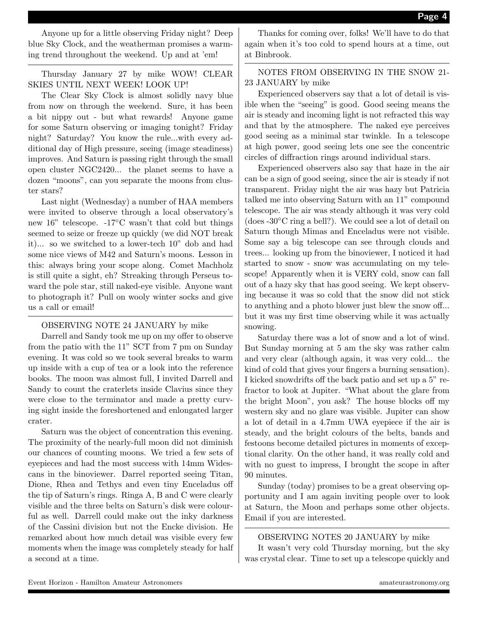Anyone up for a little observing Friday night? Deep blue Sky Clock, and the weatherman promises a warming trend throughout the weekend. Up and at 'em!

Thursday January 27 by mike WOW! CLEAR SKIES UNTIL NEXT WEEK! LOOK UP!

The Clear Sky Clock is almost solidly navy blue from now on through the weekend. Sure, it has been a bit nippy out - but what rewards! Anyone game for some Saturn observing or imaging tonight? Friday night? Saturday? You know the rule...with every additional day of High pressure, seeing (image steadiness) improves. And Saturn is passing right through the small open cluster NGC2420... the planet seems to have a dozen "moons", can you separate the moons from cluster stars?

Last night (Wednesday) a number of HAA members were invited to observe through a local observatory's new 16" telescope. -17◦C wasn't that cold but things seemed to seize or freeze up quickly (we did NOT break it)... so we switched to a lower-tech 10" dob and had some nice views of M42 and Saturn's moons. Lesson in this: always bring your scope along. Comet Machholz is still quite a sight, eh? Streaking through Perseus toward the pole star, still naked-eye visible. Anyone want to photograph it? Pull on wooly winter socks and give us a call or email!

#### OBSERVING NOTE 24 JANUARY by mike

Darrell and Sandy took me up on my offer to observe from the patio with the 11" SCT from 7 pm on Sunday evening. It was cold so we took several breaks to warm up inside with a cup of tea or a look into the reference books. The moon was almost full, I invited Darrell and Sandy to count the craterlets inside Clavius since they were close to the terminator and made a pretty curving sight inside the foreshortened and enlongated larger crater.

Saturn was the object of concentration this evening. The proximity of the nearly-full moon did not diminish our chances of counting moons. We tried a few sets of eyepieces and had the most success with 14mm Widescans in the binoviewer. Darrel reported seeing Titan, Dione, Rhea and Tethys and even tiny Enceladus off the tip of Saturn's rings. Ringa A, B and C were clearly visible and the three belts on Saturn's disk were colourful as well. Darrell could make out the inky darkness of the Cassini division but not the Encke division. He remarked about how much detail was visible every few moments when the image was completely steady for half a second at a time.

Thanks for coming over, folks! We'll have to do that again when it's too cold to spend hours at a time, out at Binbrook.

NOTES FROM OBSERVING IN THE SNOW 21- 23 JANUARY by mike

Experienced observers say that a lot of detail is visible when the "seeing" is good. Good seeing means the air is steady and incoming light is not refracted this way and that by the atmosphere. The naked eye perceives good seeing as a minimal star twinkle. In a telescope at high power, good seeing lets one see the concentric circles of diffraction rings around individual stars.

Experienced observers also say that haze in the air can be a sign of good seeing, since the air is steady if not transparent. Friday night the air was hazy but Patricia talked me into observing Saturn with an 11" compound telescope. The air was steady although it was very cold  $(does -30°C$  ring a bell?). We could see a lot of detail on Saturn though Mimas and Enceladus were not visible. Some say a big telescope can see through clouds and trees... looking up from the binoviewer, I noticed it had started to snow - snow was accumulating on my telescope! Apparently when it is VERY cold, snow can fall out of a hazy sky that has good seeing. We kept observing because it was so cold that the snow did not stick to anything and a photo blower just blew the snow off... but it was my first time observing while it was actually snowing.

Saturday there was a lot of snow and a lot of wind. But Sunday morning at 5 am the sky was rather calm and very clear (although again, it was very cold... the kind of cold that gives your fingers a burning sensation). I kicked snowdrifts off the back patio and set up a 5" refractor to look at Jupiter. "What about the glare from the bright Moon", you ask? The house blocks off my western sky and no glare was visible. Jupiter can show a lot of detail in a 4.7mm UWA eyepiece if the air is steady, and the bright colours of the belts, bands and festoons become detailed pictures in moments of exceptional clarity. On the other hand, it was really cold and with no guest to impress, I brought the scope in after 90 minutes.

Sunday (today) promises to be a great observing opportunity and I am again inviting people over to look at Saturn, the Moon and perhaps some other objects. Email if you are interested.

#### OBSERVING NOTES 20 JANUARY by mike

It wasn't very cold Thursday morning, but the sky was crystal clear. Time to set up a telescope quickly and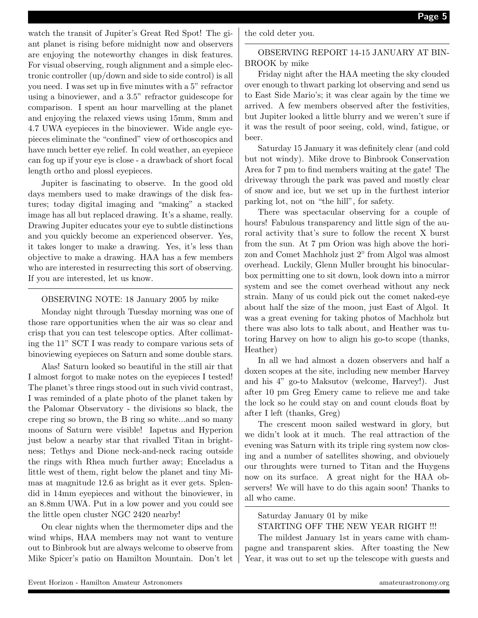watch the transit of Jupiter's Great Red Spot! The giant planet is rising before midnight now and observers are enjoying the noteworthy changes in disk features. For visual observing, rough alignment and a simple electronic controller (up/down and side to side control) is all you need. I was set up in five minutes with a 5" refractor using a binoviewer, and a 3.5" refractor guidescope for comparison. I spent an hour marvelling at the planet and enjoying the relaxed views using 15mm, 8mm and 4.7 UWA eyepieces in the binoviewer. Wide angle eyepieces eliminate the "confined" view of orthoscopics and have much better eye relief. In cold weather, an eyepiece can fog up if your eye is close - a drawback of short focal length ortho and plossl eyepieces.

Jupiter is fascinating to observe. In the good old days members used to make drawings of the disk features; today digital imaging and "making" a stacked image has all but replaced drawing. It's a shame, really. Drawing Jupiter educates your eye to subtle distinctions and you quickly become an experienced observer. Yes, it takes longer to make a drawing. Yes, it's less than objective to make a drawing. HAA has a few members who are interested in resurrecting this sort of observing. If you are interested, let us know.

#### OBSERVING NOTE: 18 January 2005 by mike

Monday night through Tuesday morning was one of those rare opportunities when the air was so clear and crisp that you can test telescope optics. After collimating the 11" SCT I was ready to compare various sets of binoviewing eyepieces on Saturn and some double stars.

Alas! Saturn looked so beautiful in the still air that I almost forgot to make notes on the eyepieces I tested! The planet's three rings stood out in such vivid contrast, I was reminded of a plate photo of the planet taken by the Palomar Observatory - the divisions so black, the crepe ring so brown, the B ring so white...and so many moons of Saturn were visible! Iapetus and Hyperion just below a nearby star that rivalled Titan in brightness; Tethys and Dione neck-and-neck racing outside the rings with Rhea much further away; Enceladus a little west of them, right below the planet and tiny Mimas at magnitude 12.6 as bright as it ever gets. Splendid in 14mm eyepieces and without the binoviewer, in an 8.8mm UWA. Put in a low power and you could see the little open cluster NGC 2420 nearby!

On clear nights when the thermometer dips and the wind whips, HAA members may not want to venture out to Binbrook but are always welcome to observe from Mike Spicer's patio on Hamilton Mountain. Don't let

the cold deter you.

OBSERVING REPORT 14-15 JANUARY AT BIN-BROOK by mike

Friday night after the HAA meeting the sky clouded over enough to thwart parking lot observing and send us to East Side Mario's; it was clear again by the time we arrived. A few members observed after the festivities, but Jupiter looked a little blurry and we weren't sure if it was the result of poor seeing, cold, wind, fatigue, or beer.

Saturday 15 January it was definitely clear (and cold but not windy). Mike drove to Binbrook Conservation Area for 7 pm to find members waiting at the gate! The driveway through the park was paved and mostly clear of snow and ice, but we set up in the furthest interior parking lot, not on "the hill", for safety.

There was spectacular observing for a couple of hours! Fabulous transparency and little sign of the auroral activity that's sure to follow the recent X burst from the sun. At 7 pm Orion was high above the horizon and Comet Machholz just 2<sup>°</sup> from Algol was almost overhead. Luckily, Glenn Muller brought his binocularbox permitting one to sit down, look down into a mirror system and see the comet overhead without any neck strain. Many of us could pick out the comet naked-eye about half the size of the moon, just East of Algol. It was a great evening for taking photos of Machholz but there was also lots to talk about, and Heather was tutoring Harvey on how to align his go-to scope (thanks, Heather)

In all we had almost a dozen observers and half a doxen scopes at the site, including new member Harvey and his 4" go-to Maksutov (welcome, Harvey!). Just after 10 pm Greg Emery came to relieve me and take the lock so he could stay on and count clouds float by after I left (thanks, Greg)

The crescent moon sailed westward in glory, but we didn't look at it much. The real attraction of the evening was Saturn with its triple ring system now closing and a number of satellites showing, and obviouely our throughts were turned to Titan and the Huygens now on its surface. A great night for the HAA observers! We will have to do this again soon! Thanks to all who came.

Saturday January 01 by mike

#### STARTING OFF THE NEW YEAR RIGHT !!!

The mildest January 1st in years came with champagne and transparent skies. After toasting the New Year, it was out to set up the telescope with guests and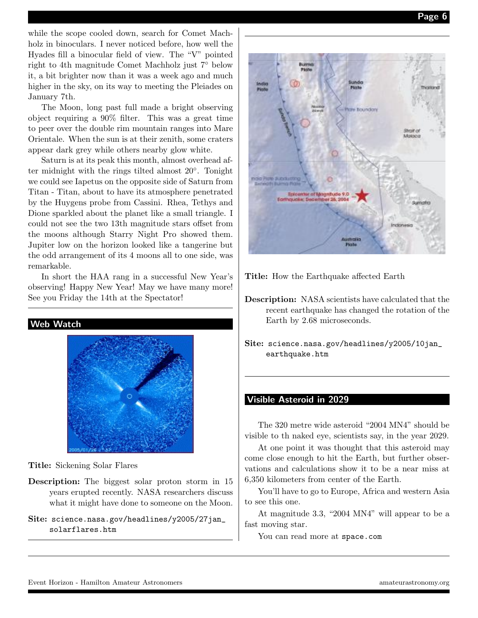while the scope cooled down, search for Comet Machholz in binoculars. I never noticed before, how well the Hyades fill a binocular field of view. The "V" pointed right to 4th magnitude Comet Machholz just 7◦ below it, a bit brighter now than it was a week ago and much higher in the sky, on its way to meeting the Pleiades on January 7th.

The Moon, long past full made a bright observing object requiring a 90% filter. This was a great time to peer over the double rim mountain ranges into Mare Orientale. When the sun is at their zenith, some craters appear dark grey while others nearby glow white.

Saturn is at its peak this month, almost overhead after midnight with the rings tilted almost 20°. Tonight we could see Iapetus on the opposite side of Saturn from Titan - Titan, about to have its atmosphere penetrated by the Huygens probe from Cassini. Rhea, Tethys and Dione sparkled about the planet like a small triangle. I could not see the two 13th magnitude stars offset from the moons although Starry Night Pro showed them. Jupiter low on the horizon looked like a tangerine but the odd arrangement of its 4 moons all to one side, was remarkable.

In short the HAA rang in a successful New Year's observing! Happy New Year! May we have many more! See you Friday the 14th at the Spectator!



Title: Sickening Solar Flares

Description: The biggest solar proton storm in 15 years erupted recently. NASA researchers discuss what it might have done to someone on the Moon.

Site: science.nasa.gov/headlines/y2005/27jan\_ solarflares.htm



Title: How the Earthquake affected Earth

Description: NASA scientists have calculated that the recent earthquake has changed the rotation of the Earth by 2.68 microseconds.

Site: science.nasa.gov/headlines/y2005/10jan\_ earthquake.htm

#### Visible Asteroid in 2029

The 320 metre wide asteroid "2004 MN4" should be visible to th naked eye, scientists say, in the year 2029.

At one point it was thought that this asteroid may come close enough to hit the Earth, but further observations and calculations show it to be a near miss at 6,350 kilometers from center of the Earth.

You'll have to go to Europe, Africa and western Asia to see this one.

At magnitude 3.3, "2004 MN4" will appear to be a fast moving star.

You can read more at space.com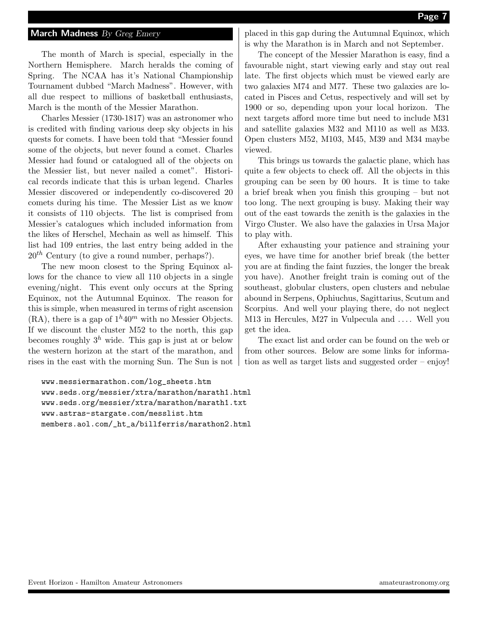#### Page 7

#### March Madness By Greg Emery

The month of March is special, especially in the Northern Hemisphere. March heralds the coming of Spring. The NCAA has it's National Championship Tournament dubbed "March Madness". However, with all due respect to millions of basketball enthusiasts, March is the month of the Messier Marathon.

Charles Messier (1730-1817) was an astronomer who is credited with finding various deep sky objects in his quests for comets. I have been told that "Messier found some of the objects, but never found a comet. Charles Messier had found or catalogued all of the objects on the Messier list, but never nailed a comet". Historical records indicate that this is urban legend. Charles Messier discovered or independently co-discovered 20 comets during his time. The Messier List as we know it consists of 110 objects. The list is comprised from Messier's catalogues which included information from the likes of Herschel, Mechain as well as himself. This list had 109 entries, the last entry being added in the  $20^{th}$  Century (to give a round number, perhaps?).

The new moon closest to the Spring Equinox allows for the chance to view all 110 objects in a single evening/night. This event only occurs at the Spring Equinox, not the Autumnal Equinox. The reason for this is simple, when measured in terms of right ascension  $(RA)$ , there is a gap of  $1^h 40^m$  with no Messier Objects. If we discount the cluster M52 to the north, this gap becomes roughly  $3^h$  wide. This gap is just at or below the western horizon at the start of the marathon, and rises in the east with the morning Sun. The Sun is not

www.messiermarathon.com/log\_sheets.htm www.seds.org/messier/xtra/marathon/marath1.html www.seds.org/messier/xtra/marathon/marath1.txt www.astras-stargate.com/messlist.htm members.aol.com/\_ht\_a/billferris/marathon2.html

placed in this gap during the Autumnal Equinox, which is why the Marathon is in March and not September.

The concept of the Messier Marathon is easy, find a favourable night, start viewing early and stay out real late. The first objects which must be viewed early are two galaxies M74 and M77. These two galaxies are located in Pisces and Cetus, respectively and will set by 1900 or so, depending upon your local horizon. The next targets afford more time but need to include M31 and satellite galaxies M32 and M110 as well as M33. Open clusters M52, M103, M45, M39 and M34 maybe viewed.

This brings us towards the galactic plane, which has quite a few objects to check off. All the objects in this grouping can be seen by 00 hours. It is time to take a brief break when you finish this grouping – but not too long. The next grouping is busy. Making their way out of the east towards the zenith is the galaxies in the Virgo Cluster. We also have the galaxies in Ursa Major to play with.

After exhausting your patience and straining your eyes, we have time for another brief break (the better you are at finding the faint fuzzies, the longer the break you have). Another freight train is coming out of the southeast, globular clusters, open clusters and nebulae abound in Serpens, Ophiuchus, Sagittarius, Scutum and Scorpius. And well your playing there, do not neglect M13 in Hercules, M27 in Vulpecula and .... Well you get the idea.

The exact list and order can be found on the web or from other sources. Below are some links for information as well as target lists and suggested order – enjoy!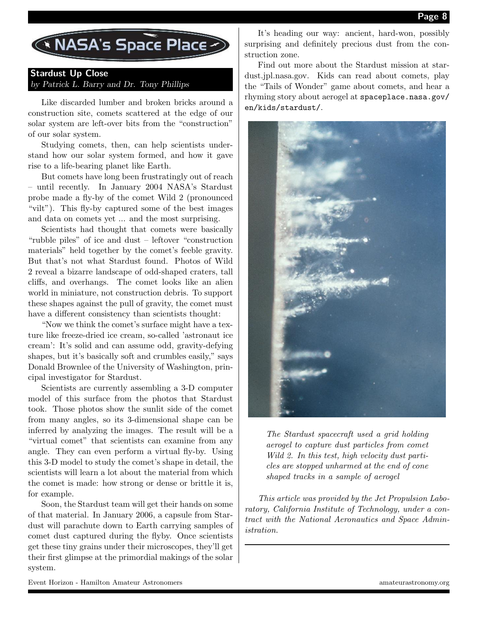

## Stardust Up Close by Patrick L. Barry and Dr. Tony Phillips

Like discarded lumber and broken bricks around a construction site, comets scattered at the edge of our solar system are left-over bits from the "construction" of our solar system.

Studying comets, then, can help scientists understand how our solar system formed, and how it gave rise to a life-bearing planet like Earth.

But comets have long been frustratingly out of reach – until recently. In January 2004 NASA's Stardust probe made a fly-by of the comet Wild 2 (pronounced "vilt"). This fly-by captured some of the best images and data on comets yet ... and the most surprising.

Scientists had thought that comets were basically "rubble piles" of ice and dust – leftover "construction materials" held together by the comet's feeble gravity. But that's not what Stardust found. Photos of Wild 2 reveal a bizarre landscape of odd-shaped craters, tall cliffs, and overhangs. The comet looks like an alien world in miniature, not construction debris. To support these shapes against the pull of gravity, the comet must have a different consistency than scientists thought:

"Now we think the comet's surface might have a texture like freeze-dried ice cream, so-called 'astronaut ice cream': It's solid and can assume odd, gravity-defying shapes, but it's basically soft and crumbles easily," says Donald Brownlee of the University of Washington, principal investigator for Stardust.

Scientists are currently assembling a 3-D computer model of this surface from the photos that Stardust took. Those photos show the sunlit side of the comet from many angles, so its 3-dimensional shape can be inferred by analyzing the images. The result will be a "virtual comet" that scientists can examine from any angle. They can even perform a virtual fly-by. Using this 3-D model to study the comet's shape in detail, the scientists will learn a lot about the material from which the comet is made: how strong or dense or brittle it is, for example.

Soon, the Stardust team will get their hands on some of that material. In January 2006, a capsule from Stardust will parachute down to Earth carrying samples of comet dust captured during the flyby. Once scientists get these tiny grains under their microscopes, they'll get their first glimpse at the primordial makings of the solar system.

It's heading our way: ancient, hard-won, possibly surprising and definitely precious dust from the construction zone.

Find out more about the Stardust mission at stardust.jpl.nasa.gov. Kids can read about comets, play the "Tails of Wonder" game about comets, and hear a rhyming story about aerogel at spaceplace.nasa.gov/ en/kids/stardust/.



The Stardust spacecraft used a grid holding aerogel to capture dust particles from comet Wild 2. In this test, high velocity dust particles are stopped unharmed at the end of cone shaped tracks in a sample of aerogel

This article was provided by the Jet Propulsion Laboratory, California Institute of Technology, under a contract with the National Aeronautics and Space Administration.

Event Horizon - Hamilton Amateur Astronomers amateurastronomy.org